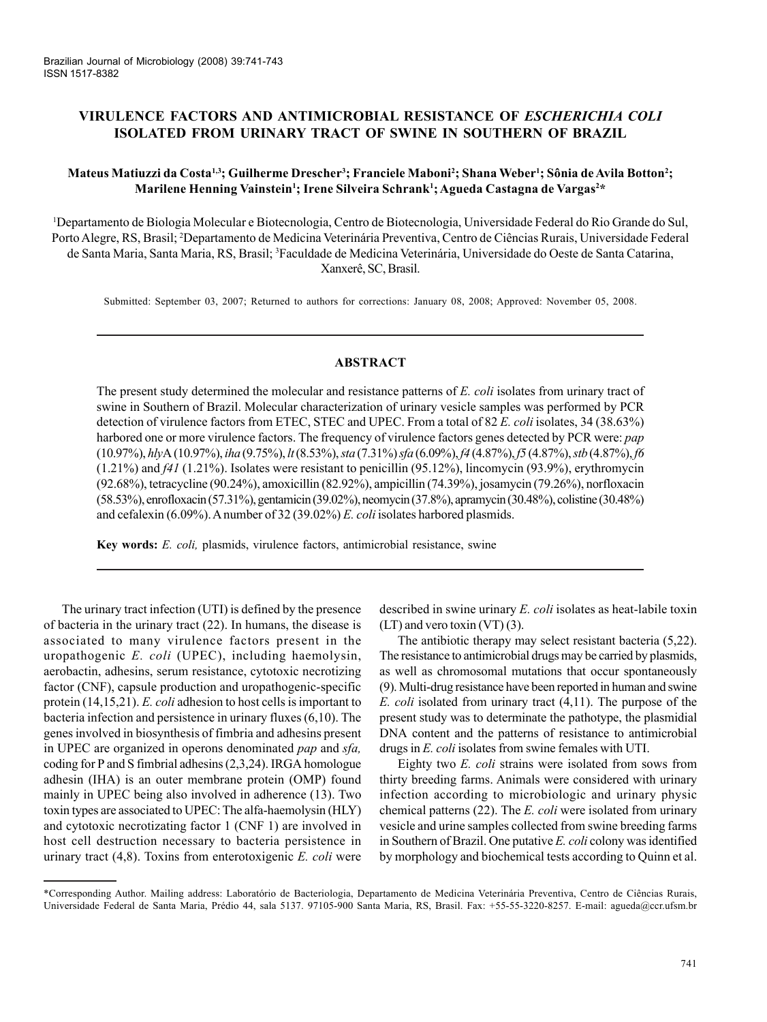# **VIRULENCE FACTORS AND ANTIMICROBIAL RESISTANCE OF** *ESCHERICHIA COLI* **ISOLATED FROM URINARY TRACT OF SWINE IN SOUTHERN OF BRAZIL**

## **Mateus Matiuzzi da Costa1,3; Guilherme Drescher3 ; Franciele Maboni2 ; Shana Weber1 ; Sônia de Avila Botton2 ;**  $\mathbf{M}$ arilene Henning Vainstein'; Irene Silveira Schrank'; Agueda Castagna de Vargas<sup>2</sup>\*

1 Departamento de Biologia Molecular e Biotecnologia, Centro de Biotecnologia, Universidade Federal do Rio Grande do Sul, Porto Alegre, RS, Brasil; <sup>2</sup>Departamento de Medicina Veterinária Preventiva, Centro de Ciências Rurais, Universidade Federal de Santa Maria, Santa Maria, RS, Brasil; <sup>3</sup>Faculdade de Medicina Veterinária, Universidade do Oeste de Santa Catarina, Xanxerê, SC, Brasil.

Submitted: September 03, 2007; Returned to authors for corrections: January 08, 2008; Approved: November 05, 2008.

# **ABSTRACT**

The present study determined the molecular and resistance patterns of *E. coli* isolates from urinary tract of swine in Southern of Brazil. Molecular characterization of urinary vesicle samples was performed by PCR detection of virulence factors from ETEC, STEC and UPEC. From a total of 82 *E. coli* isolates, 34 (38.63%) harbored one or more virulence factors. The frequency of virulence factors genes detected by PCR were: *pap* (10.97%), *hly*A (10.97%), *iha* (9.75%), *lt* (8.53%), *sta* (7.31%) *sfa* (6.09%), *f4* (4.87%), *f5* (4.87%), *stb* (4.87%), *f6* (1.21%) and *f41* (1.21%). Isolates were resistant to penicillin (95.12%), lincomycin (93.9%), erythromycin (92.68%), tetracycline (90.24%), amoxicillin (82.92%), ampicillin (74.39%), josamycin (79.26%), norfloxacin (58.53%), enrofloxacin (57.31%), gentamicin (39.02%), neomycin (37.8%), apramycin (30.48%), colistine (30.48%) and cefalexin (6.09%). A number of 32 (39.02%) *E. coli* isolates harbored plasmids.

**Key words:** *E. coli,* plasmids, virulence factors, antimicrobial resistance, swine

The urinary tract infection (UTI) is defined by the presence of bacteria in the urinary tract (22). In humans, the disease is associated to many virulence factors present in the uropathogenic *E. coli* (UPEC), including haemolysin, aerobactin, adhesins, serum resistance, cytotoxic necrotizing factor (CNF), capsule production and uropathogenic-specific protein (14,15,21). *E. coli* adhesion to host cells is important to bacteria infection and persistence in urinary fluxes (6,10). The genes involved in biosynthesis of fimbria and adhesins present in UPEC are organized in operons denominated *pap* and *sfa,* coding for P and S fimbrial adhesins (2,3,24). IRGA homologue adhesin (IHA) is an outer membrane protein (OMP) found mainly in UPEC being also involved in adherence (13). Two toxin types are associated to UPEC: The alfa-haemolysin (HLY) and cytotoxic necrotizating factor 1 (CNF 1) are involved in host cell destruction necessary to bacteria persistence in urinary tract (4,8). Toxins from enterotoxigenic *E. coli* were described in swine urinary *E. coli* isolates as heat-labile toxin (LT) and vero toxin (VT) (3).

The antibiotic therapy may select resistant bacteria (5,22). The resistance to antimicrobial drugs may be carried by plasmids, as well as chromosomal mutations that occur spontaneously (9). Multi-drug resistance have been reported in human and swine *E. coli* isolated from urinary tract (4,11). The purpose of the present study was to determinate the pathotype, the plasmidial DNA content and the patterns of resistance to antimicrobial drugs in *E. coli* isolates from swine females with UTI.

Eighty two *E. coli* strains were isolated from sows from thirty breeding farms. Animals were considered with urinary infection according to microbiologic and urinary physic chemical patterns (22). The *E. coli* were isolated from urinary vesicle and urine samples collected from swine breeding farms in Southern of Brazil. One putative *E. coli* colony was identified by morphology and biochemical tests according to Quinn et al.

<sup>\*</sup>Corresponding Author. Mailing address: Laboratório de Bacteriologia, Departamento de Medicina Veterinária Preventiva, Centro de Ciências Rurais, Universidade Federal de Santa Maria, Prédio 44, sala 5137. 97105-900 Santa Maria, RS, Brasil. Fax: +55-55-3220-8257. E-mail: agueda@ccr.ufsm.br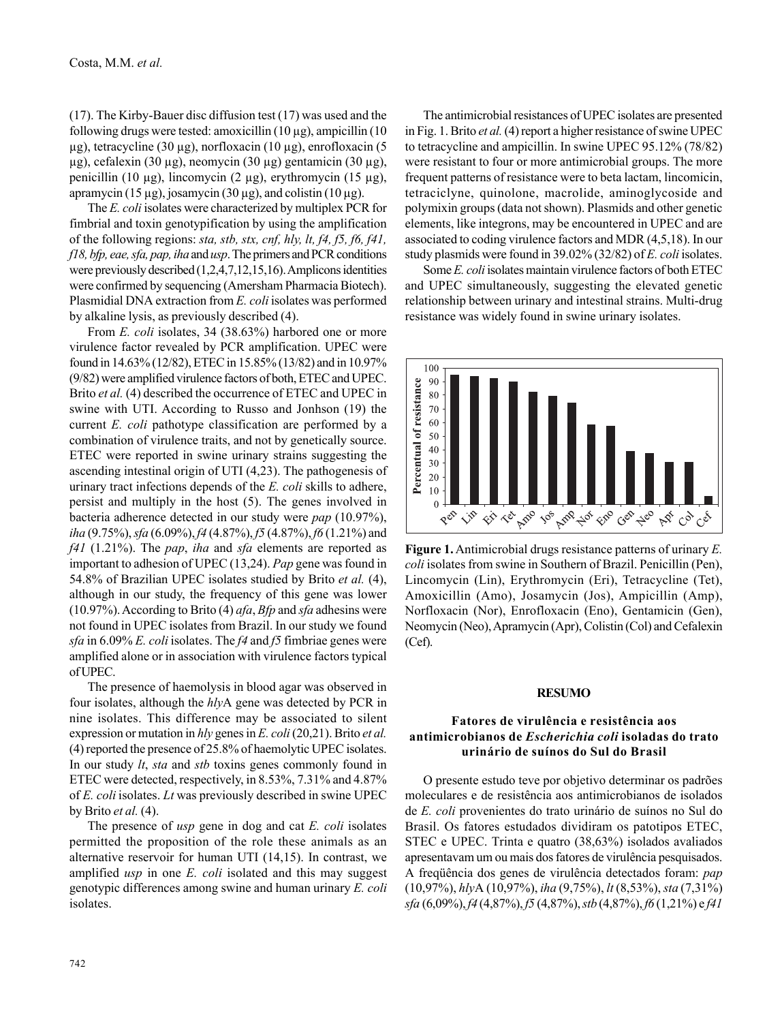(17). The Kirby-Bauer disc diffusion test (17) was used and the following drugs were tested: amoxicillin (10 μg), ampicillin (10 μg), tetracycline (30 μg), norfloxacin (10 μg), enrofloxacin (5 μg), cefalexin (30 μg), neomycin (30 μg) gentamicin (30 μg), penicillin (10 μg), lincomycin (2 μg), erythromycin (15 μg), apramycin (15 μg), josamycin (30 μg), and colistin (10 μg).

The *E. coli* isolates were characterized by multiplex PCR for fimbrial and toxin genotypification by using the amplification of the following regions: *sta, stb, stx, cnf, hly, lt, f4, f5, f6, f41, f18, bfp, eae, sfa, pap, iha* and *usp*. The primers and PCR conditions were previously described (1,2,4,7,12,15,16). Amplicons identities were confirmed by sequencing (Amersham Pharmacia Biotech). Plasmidial DNA extraction from *E. coli* isolates was performed by alkaline lysis, as previously described (4).

From *E. coli* isolates, 34 (38.63%) harbored one or more virulence factor revealed by PCR amplification. UPEC were found in 14.63% (12/82), ETEC in 15.85% (13/82) and in 10.97% (9/82) were amplified virulence factors of both, ETEC and UPEC. Brito *et al.* (4) described the occurrence of ETEC and UPEC in swine with UTI. According to Russo and Jonhson (19) the current *E. coli* pathotype classification are performed by a combination of virulence traits, and not by genetically source. ETEC were reported in swine urinary strains suggesting the ascending intestinal origin of UTI (4,23). The pathogenesis of urinary tract infections depends of the *E. coli* skills to adhere, persist and multiply in the host (5). The genes involved in bacteria adherence detected in our study were *pap* (10.97%), *iha* (9.75%), *sfa* (6.09%), *f4* (4.87%), *f5* (4.87%), *f6* (1.21%) and *f41* (1.21%). The *pap*, *iha* and *sfa* elements are reported as important to adhesion of UPEC (13,24). *Pap* gene was found in 54.8% of Brazilian UPEC isolates studied by Brito *et al.* (4), although in our study, the frequency of this gene was lower (10.97%). According to Brito (4) *afa*, *Bfp* and *sfa* adhesins were not found in UPEC isolates from Brazil. In our study we found *sfa* in 6.09% *E. coli* isolates. The *f4* and *f5* fimbriae genes were amplified alone or in association with virulence factors typical of UPEC.

The presence of haemolysis in blood agar was observed in four isolates, although the *hly*A gene was detected by PCR in nine isolates. This difference may be associated to silent expression or mutation in *hly* genes in *E. coli* (20,21). Brito *et al.* (4) reported the presence of 25.8% of haemolytic UPEC isolates. In our study *lt*, *sta* and *stb* toxins genes commonly found in ETEC were detected, respectively, in 8.53%, 7.31% and 4.87% of *E. coli* isolates. *Lt* was previously described in swine UPEC by Brito *et al.* (4).

The presence of *usp* gene in dog and cat *E. coli* isolates permitted the proposition of the role these animals as an alternative reservoir for human UTI (14,15). In contrast, we amplified *usp* in one *E. coli* isolated and this may suggest genotypic differences among swine and human urinary *E. coli* isolates.

The antimicrobial resistances of UPEC isolates are presented in Fig. 1. Brito *et al.* (4) report a higher resistance of swine UPEC to tetracycline and ampicillin. In swine UPEC 95.12% (78/82) were resistant to four or more antimicrobial groups. The more frequent patterns of resistance were to beta lactam, lincomicin, tetraciclyne, quinolone, macrolide, aminoglycoside and polymixin groups (data not shown). Plasmids and other genetic elements, like integrons, may be encountered in UPEC and are associated to coding virulence factors and MDR (4,5,18). In our study plasmids were found in 39.02% (32/82) of *E. coli* isolates.

Some *E. coli* isolates maintain virulence factors of both ETEC and UPEC simultaneously, suggesting the elevated genetic relationship between urinary and intestinal strains. Multi-drug resistance was widely found in swine urinary isolates.



**Figure 1.** Antimicrobial drugs resistance patterns of urinary *E. coli* isolates from swine in Southern of Brazil. Penicillin (Pen), Lincomycin (Lin), Erythromycin (Eri), Tetracycline (Tet), Amoxicillin (Amo), Josamycin (Jos), Ampicillin (Amp), Norfloxacin (Nor), Enrofloxacin (Eno), Gentamicin (Gen), Neomycin (Neo), Apramycin (Apr), Colistin (Col) and Cefalexin (Cef).

#### **RESUMO**

## **Fatores de virulência e resistência aos antimicrobianos de** *Escherichia coli* **isoladas do trato urinário de suínos do Sul do Brasil**

O presente estudo teve por objetivo determinar os padrões moleculares e de resistência aos antimicrobianos de isolados de *E. coli* provenientes do trato urinário de suínos no Sul do Brasil. Os fatores estudados dividiram os patotipos ETEC, STEC e UPEC. Trinta e quatro (38,63%) isolados avaliados apresentavam um ou mais dos fatores de virulência pesquisados. A freqüência dos genes de virulência detectados foram: *pap* (10,97%), *hly*A (10,97%), *iha* (9,75%), *lt* (8,53%), *sta* (7,31%) *sfa* (6,09%), *f4* (4,87%), *f5* (4,87%), *stb* (4,87%), *f6* (1,21%) e *f41*